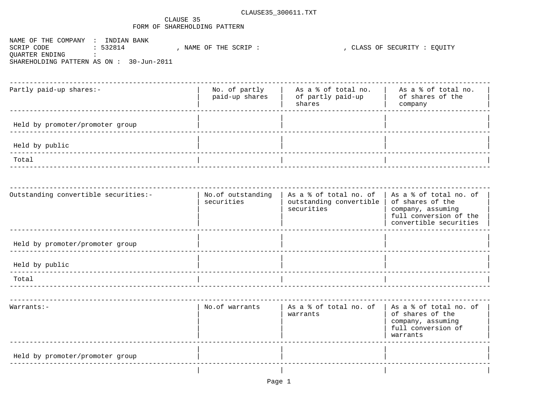## CLAUSE 35 FORM OF SHAREHOLDING PATTERN

NAME OF THE COMPANY : INDIAN BANK ------<br>, NAME OF THE SCRIP : SCRIP CODE  $: 532814$ QUARTER ENDING  $\sim 100$ SHAREHOLDING PATTERN AS ON: 30-Jun-2011

, CLASS OF SECURITY : EOUITY

| Partly paid-up shares:-         | No. of partly<br>paid-up shares | As a % of total no.<br>of partly paid-up<br>shares | As a % of total no.<br>of shares of the<br>company |
|---------------------------------|---------------------------------|----------------------------------------------------|----------------------------------------------------|
| Held by promoter/promoter group |                                 |                                                    |                                                    |
| Held by public                  |                                 |                                                    |                                                    |
| Total                           |                                 |                                                    |                                                    |

| Outstanding convertible securities:- | No.of outstanding<br>securities | As a % of total no. of<br>outstanding convertible<br>securities | As a % of total no. of<br>of shares of the<br>company, assuming<br>full conversion of the<br>convertible securities |
|--------------------------------------|---------------------------------|-----------------------------------------------------------------|---------------------------------------------------------------------------------------------------------------------|
| Held by promoter/promoter group      |                                 |                                                                 |                                                                                                                     |
| Held by public                       |                                 |                                                                 |                                                                                                                     |
| Total                                |                                 |                                                                 |                                                                                                                     |
|                                      |                                 |                                                                 |                                                                                                                     |
| $Warrants:-$                         | No.of warrants                  | As a & of total no. of   As a & of total no. of<br>warrants     | of shares of the<br>company, assuming<br>full conversion of<br>warrants                                             |
| Held by promoter/promoter group      |                                 |                                                                 |                                                                                                                     |
|                                      |                                 |                                                                 |                                                                                                                     |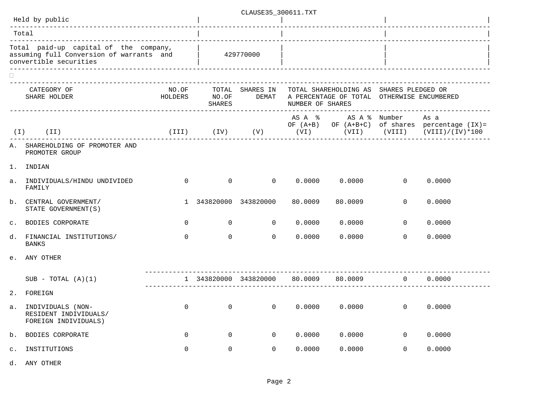|                                                                                                                                                   | CLAUSE35 300611.TXT                                                |                |                |                                     |                  |                                                                                                             |                |                                                                                                           |  |
|---------------------------------------------------------------------------------------------------------------------------------------------------|--------------------------------------------------------------------|----------------|----------------|-------------------------------------|------------------|-------------------------------------------------------------------------------------------------------------|----------------|-----------------------------------------------------------------------------------------------------------|--|
|                                                                                                                                                   | Held by public                                                     |                |                |                                     |                  |                                                                                                             |                |                                                                                                           |  |
|                                                                                                                                                   | Total<br>-----------------------------------                       |                |                |                                     |                  |                                                                                                             |                |                                                                                                           |  |
| Total paid-up capital of the company,<br>$\frac{1}{2}$ assuming full Conversion of warrants and $\frac{1}{2}$ 429770000<br>convertible securities |                                                                    |                |                |                                     |                  |                                                                                                             |                |                                                                                                           |  |
|                                                                                                                                                   | CATEGORY OF<br>HOLDERS NO.OF<br>SHARE HOLDER                       | NO.OF          | SHARES         |                                     | NUMBER OF SHARES | TOTAL SHARES IN TOTAL SHAREHOLDING AS SHARES PLEDGED OR<br>DEMAT A PERCENTAGE OF TOTAL OTHERWISE ENCUMBERED |                |                                                                                                           |  |
| ( I )                                                                                                                                             | (II)                                                               |                |                |                                     |                  | AS A % AS A % Number As a                                                                                   |                | OF (A+B) OF (A+B+C) of shares percentage (IX)=<br>(III) (IV) (V) (VI) (VII) (VIII) (VIII) (VIII)/(IV)*100 |  |
|                                                                                                                                                   | A. SHAREHOLDING OF PROMOTER AND<br>PROMOTER GROUP                  |                |                |                                     |                  |                                                                                                             |                |                                                                                                           |  |
| 1.                                                                                                                                                | INDIAN                                                             |                |                |                                     |                  |                                                                                                             |                |                                                                                                           |  |
| $a$ .                                                                                                                                             | INDIVIDUALS/HINDU UNDIVIDED<br>FAMILY                              | $\Omega$       |                | $\begin{matrix} 0 & 0 \end{matrix}$ |                  | 0.0000000000                                                                                                | $\Omega$       | 0.0000                                                                                                    |  |
|                                                                                                                                                   | b. CENTRAL GOVERNMENT/<br>STATE GOVERNMENT (S)                     |                |                | 1 343820000 343820000               | 80.0009          | 80.0009                                                                                                     | $\Omega$       | 0.0000                                                                                                    |  |
|                                                                                                                                                   | c. BODIES CORPORATE                                                | $\overline{0}$ |                | $0\qquad \qquad 0$                  |                  | 0.0000 0.0000                                                                                               | $\overline{0}$ | 0.0000                                                                                                    |  |
|                                                                                                                                                   | d. FINANCIAL INSTITUTIONS/<br><b>BANKS</b>                         | $\Omega$       | $\overline{0}$ | $\overline{0}$                      | 0.0000           | 0.0000                                                                                                      | $\Omega$       | 0.0000                                                                                                    |  |
|                                                                                                                                                   | e. ANY OTHER                                                       |                |                |                                     |                  |                                                                                                             |                |                                                                                                           |  |
|                                                                                                                                                   | SUB - TOTAL $(A)(1)$                                               |                |                |                                     |                  | $1$ 343820000 343820000 80.0009 80.0009 0                                                                   |                | 0.0000                                                                                                    |  |
| 2.                                                                                                                                                | FOREIGN                                                            |                |                |                                     |                  |                                                                                                             |                |                                                                                                           |  |
| а.                                                                                                                                                | INDIVIDUALS (NON-<br>RESIDENT INDIVIDUALS/<br>FOREIGN INDIVIDUALS) | 0              | 0              | 0                                   | 0.0000           | 0.0000                                                                                                      | $\overline{0}$ | 0.0000                                                                                                    |  |
| b.                                                                                                                                                | BODIES CORPORATE                                                   | $\mathbf 0$    | 0              | $\mathbf{0}$                        | 0.0000           | 0.0000                                                                                                      | 0              | 0.0000                                                                                                    |  |
| $\mathsf{c}$ .                                                                                                                                    | INSTITUTIONS                                                       | 0              | $\mathbb O$    | $\mathbf{0}$                        | 0.0000           | 0.0000                                                                                                      | $\mathbf 0$    | 0.0000                                                                                                    |  |
| d.                                                                                                                                                | ANY OTHER                                                          |                |                |                                     |                  |                                                                                                             |                |                                                                                                           |  |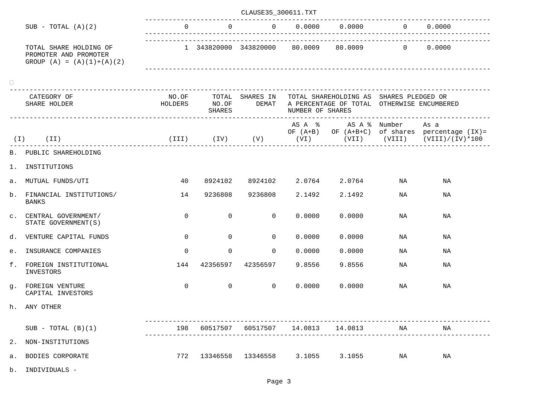|    |                                                                                |                |                | CLAUSE35_300611.TXT |                         |                                                                                                                   |          |                                                                                                                        |
|----|--------------------------------------------------------------------------------|----------------|----------------|---------------------|-------------------------|-------------------------------------------------------------------------------------------------------------------|----------|------------------------------------------------------------------------------------------------------------------------|
|    | $SUB - TOTAL (A)(2)$                                                           |                |                |                     |                         | 0 0 0.0000 0.0000                                                                                                 | 0 0.0000 |                                                                                                                        |
|    | TOTAL SHARE HOLDING OF<br>PROMOTER AND PROMOTER<br>GROUP $(A) = (A)(1)+(A)(2)$ |                |                |                     |                         | $1$ 343820000 343820000 80.0009 80.0009 0 0.0000                                                                  |          |                                                                                                                        |
|    | CATEGORY OF<br>SHARE HOLDER                                                    | HOLDERS NO.OF  | SHARES         |                     | NUMBER OF SHARES        | NO.OF TOTAL SHARES IN TOTAL SHAREHOLDING AS SHARES PLEDGED OR<br>DEMAT A PERCENTAGE OF TOTAL OTHERWISE ENCUMBERED |          |                                                                                                                        |
|    | $(I)$ $(II)$                                                                   |                |                |                     |                         | AS A % AS A % Number                                                                                              |          | As a<br>OF (A+B) OF (A+B+C) of shares percentage (IX)=<br>(III) (IV) (V) (VI) (VII) (VIII) (VIII) (VIII) (VIII) (VIII) |
|    | B. PUBLIC SHAREHOLDING                                                         |                |                |                     |                         |                                                                                                                   |          |                                                                                                                        |
| 1. | INSTITUTIONS                                                                   |                |                |                     |                         |                                                                                                                   |          |                                                                                                                        |
|    | a. MUTUAL FUNDS/UTI                                                            | 40             |                |                     |                         | 8924102 8924102 2.0764 2.0764                                                                                     | NA       | NA                                                                                                                     |
|    | b. FINANCIAL INSTITUTIONS/<br>BANKS                                            | 14             | 9236808        | 9236808 2.1492      |                         | 2.1492                                                                                                            | NA       | ΝA                                                                                                                     |
|    | C. CENTRAL GOVERNMENT/<br>STATE GOVERNMENT (S)                                 | $\Omega$       | $\overline{0}$ | $\Omega$            | 0.0000                  | 0.0000                                                                                                            | NA       | ΝA                                                                                                                     |
|    | d. VENTURE CAPITAL FUNDS                                                       | $\Omega$       | $\overline{0}$ | $\Omega$            | 0.0000                  | 0.0000                                                                                                            | NA       | NA                                                                                                                     |
|    | e. INSURANCE COMPANIES                                                         | $\Omega$       | $\mathbf 0$    | $\Omega$            | 0.0000                  | 0.0000                                                                                                            | NA       | ΝA                                                                                                                     |
|    | f. FOREIGN INSTITUTIONAL<br>INVESTORS                                          | 144            |                | 42356597 42356597   | 9.8556                  | 9.8556                                                                                                            | NA       | ΝA                                                                                                                     |
|    | q. FOREIGN VENTURE<br>CAPITAL INVESTORS                                        | $\overline{0}$ | $\overline{0}$ |                     | $0 \t 0.0000 \t 0.0000$ |                                                                                                                   | NA       | NA                                                                                                                     |
|    | h. ANY OTHER                                                                   |                |                |                     |                         |                                                                                                                   |          |                                                                                                                        |
|    | $SUB - TOTAL (B)(1)$                                                           | 198            | 60517507       | 60517507            |                         | 14.0813 14.0813                                                                                                   | NA       | ΝA                                                                                                                     |
|    | 2. NON-INSTITUTIONS                                                            |                |                |                     |                         |                                                                                                                   |          |                                                                                                                        |
|    | a. BODIES CORPORATE                                                            | 772            |                |                     |                         | 13346558 13346558 3.1055 3.1055                                                                                   | NA       | NA                                                                                                                     |
|    | b. INDIVIDUALS -                                                               |                |                |                     |                         |                                                                                                                   |          |                                                                                                                        |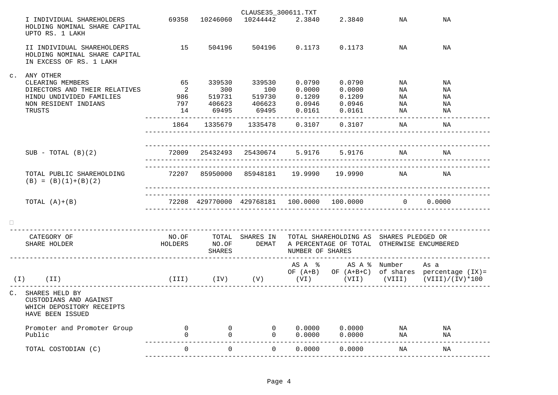|                                                                                                                                 |                            |          | CLAUSE35_300611.TXT                                        |                      |                                                                                                                                                                    |                                         |                                                                                                           |
|---------------------------------------------------------------------------------------------------------------------------------|----------------------------|----------|------------------------------------------------------------|----------------------|--------------------------------------------------------------------------------------------------------------------------------------------------------------------|-----------------------------------------|-----------------------------------------------------------------------------------------------------------|
| I INDIVIDUAL SHAREHOLDERS<br>HOLDING NOMINAL SHARE CAPITAL<br>UPTO RS. 1 LAKH                                                   |                            |          | 69358 10246060 10244442 2.3840                             |                      | 2.3840                                                                                                                                                             | NA                                      | ΝA                                                                                                        |
| II INDIVIDUAL SHAREHOLDERS<br>HOLDING NOMINAL SHARE CAPITAL<br>IN EXCESS OF RS. 1 LAKH                                          | 15                         |          |                                                            |                      | 504196 504196 0.1173 0.1173 NA                                                                                                                                     |                                         | NA                                                                                                        |
| c. ANY OTHER<br>CLEARING MEMBERS<br>DIRECTORS AND THEIR RELATIVES<br>HINDU UNDIVIDED FAMILIES<br>NON RESIDENT INDIANS<br>TRUSTS | 65                         | 339530   | 2 300 100 0.0000 0.0000<br>986 519731 519730 0.1209 0.1209 | 339530 0.0790 0.0790 |                                                                                                                                                                    | NA<br>NA<br>NA<br>. _ _ _ _ _ _ _ _ _ _ | ΝA<br>NA<br>ΝA<br>ΝA<br>ΝA                                                                                |
|                                                                                                                                 |                            |          | _______________________                                    |                      | 1864 1335679 1335478 0.3107 0.3107                                                                                                                                 | NA<br>___________________________       | ΝA                                                                                                        |
|                                                                                                                                 |                            |          |                                                            |                      |                                                                                                                                                                    |                                         |                                                                                                           |
| $SUB - TOTAL (B)(2)$                                                                                                            |                            |          |                                                            |                      | 72009 25432493 25430674 5.9176 5.9176 NA                                                                                                                           |                                         | NA                                                                                                        |
| TOTAL PUBLIC SHAREHOLDING<br>$(B) = (B)(1)+(B)(2)$                                                                              |                            |          | 72207 85950000 85948181 19.9990 19.9990                    |                      |                                                                                                                                                                    | NA                                      | NA                                                                                                        |
| TOTAL $(A)+(B)$                                                                                                                 |                            |          | 72208 429770000 429768181 100.0000 100.0000                |                      |                                                                                                                                                                    | 0                                       | 0.0000                                                                                                    |
|                                                                                                                                 |                            |          |                                                            |                      |                                                                                                                                                                    |                                         |                                                                                                           |
| CATEGORY OF<br>SHARE HOLDER                                                                                                     |                            | SHARES   |                                                            | NUMBER OF SHARES     | NO.OF        TOTAL   SHARES IN    TOTAL SHAREHOLDING AS   SHARES PLEDGED OR<br>HOLDERS         NO.OF         DEMAT    A PERCENTAGE OF TOTAL   OTHERWISE ENCUMBERED |                                         |                                                                                                           |
| $(I)$ $(II)$                                                                                                                    |                            |          |                                                            |                      | AS A % AS A % Number As a                                                                                                                                          |                                         | OF $(A+B)$ OF $(A+B+C)$ of shares percentage $(IX) =$<br>(III) (IV) (V) (VI) (VII) (VIII) (VIII)/(IV)*100 |
| C. SHARES HELD BY<br>CUSTODIANS AND AGAINST<br>WHICH DEPOSITORY RECEIPTS<br>HAVE BEEN ISSUED                                    |                            |          |                                                            |                      |                                                                                                                                                                    |                                         |                                                                                                           |
| Promoter and Promoter Group<br>Public                                                                                           | $\overline{0}$<br>$\Omega$ |          |                                                            |                      | $0$ 0 0.0000 0.0000 NA<br>$0 \t 0 \t 0.0000 \t 0.0000$                                                                                                             | NA                                      | NA<br>NA                                                                                                  |
| TOTAL COSTODIAN (C)                                                                                                             | $\Omega$                   | $\Omega$ | $\overline{0}$                                             | 0.0000               | 0.0000                                                                                                                                                             | <b>NA</b>                               | ΝA                                                                                                        |

---------------------------------------------------------------------------------------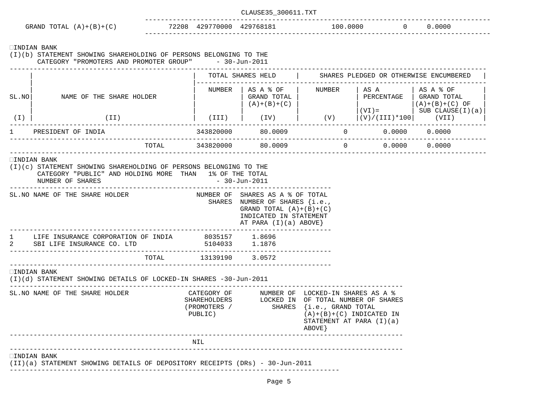|                                                                      |                              | CLAUSE35 300611.TXT |          |        |  |
|----------------------------------------------------------------------|------------------------------|---------------------|----------|--------|--|
| GRAND TOTAL $(A)+(B)+(C)$                                            | 429770000 429768181<br>72208 |                     | 100.0000 | 0.0000 |  |
| INDIAN BANK                                                          |                              |                     |          |        |  |
| STATEMENT SHOWING SHAREHOLDING OF PERSONS BELONGING TO THE<br>(I)(b) |                              |                     |          |        |  |
| CATEGORY "PROMOTERS AND PROMOTER GROUP"                              |                              | $-30 - Jun - 2011$  |          |        |  |
|                                                                      |                              |                     |          |        |  |

|                    |                          | TOTAL SHARES HELD |                                               | SHARES PLEDGED OR OTHERWISE ENCUMBERED |                                |                                                                    |  |
|--------------------|--------------------------|-------------------|-----------------------------------------------|----------------------------------------|--------------------------------|--------------------------------------------------------------------|--|
| SL.NO              | NAME OF THE SHARE HOLDER | NUMBER            | AS A % OF<br>GRAND TOTAL<br>$(A) + (B) + (C)$ | NUMBER                                 | AS A<br>PERCENTAGE<br>$(VI) =$ | AS A % OF<br>GRAND TOTAL<br>$(A)+(B)+(C)$ OF<br>SUB $CLAUSE(I)(a)$ |  |
| (I)                | (II)                     | (III)             | (IV)                                          | (V)                                    | $ (V)/(III)*100 $              | (VII)                                                              |  |
| PRESIDENT OF INDIA |                          | 343820000         | 80.0009                                       | 0                                      | 0.0000                         | 0.0000                                                             |  |
|                    | TOTAL                    | 343820000         | 80.0009                                       | 0                                      | 0.0000                         | 0.0000                                                             |  |

| SL. NO NAME OF THE SHARE HOLDER                                                  |                                  | - 30-Jun-2011<br>NUMBER OF SHARES AS A % OF TOTAL                                                                |                                                                                                                                                                 |
|----------------------------------------------------------------------------------|----------------------------------|------------------------------------------------------------------------------------------------------------------|-----------------------------------------------------------------------------------------------------------------------------------------------------------------|
|                                                                                  |                                  | SHARES NUMBER OF SHARES {i.e.,<br>GRAND TOTAL $(A)+(B)+(C)$<br>INDICATED IN STATEMENT<br>AT PARA $(I)(a)$ ABOVE} |                                                                                                                                                                 |
| LIFE INSURANCE CORPORATION OF INDIA<br>1<br>SBI LIFE INSURANCE CO. LTD           | 8035157 1.8696<br>5104033 1.1876 |                                                                                                                  |                                                                                                                                                                 |
|                                                                                  | TOTAL 13139190 3.0572            |                                                                                                                  |                                                                                                                                                                 |
| INDIAN BANK<br>(I)(d) STATEMENT SHOWING DETAILS OF LOCKED-IN SHARES -30-Jun-2011 |                                  |                                                                                                                  |                                                                                                                                                                 |
|                                                                                  |                                  |                                                                                                                  | CATEGORY OF MUMBER OF LOCKED-IN SHARES AS A %                                                                                                                   |
| SL. NO NAME OF THE SHARE HOLDER                                                  | PUBLIC)                          |                                                                                                                  | SHAREHOLDERS LOCKED IN OF TOTAL NUMBER OF SHARES<br>(PROMOTERS / SHARES {i.e., GRAND TOTAL<br>$(A)+(B)+(C)$ INDICATED IN<br>STATEMENT AT PARA (I)(a)<br>ABOVE } |

-----------------------------------------------------------------------------------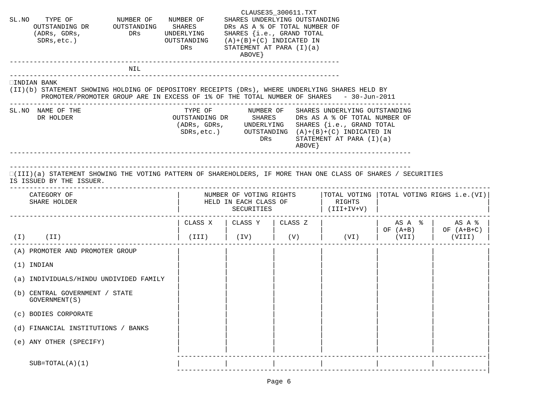| SL. NO TYPE OF NUMBER OF NUMBER OF SHARES UNDERLYING OUTSTANDING<br>OUTSTANDING DR OUTSTANDING SHARES DRS AS A % OF TOTAL NUMBER OF<br>(ADRs, GDRs,<br>$SDRs, etc.$ )                                                                                                   | DRS UNDERLYING SHARES {i.e., GRAND TOTAL | OUTSTANDING $(A)+(B)+(C)$ INDICATED IN<br>DRs | STATEMENT AT PARA (I)(a)<br>ABOVE }                                | CLAUSE35_300611.TXT |                                                                                                                                     |                                         |                                         |
|-------------------------------------------------------------------------------------------------------------------------------------------------------------------------------------------------------------------------------------------------------------------------|------------------------------------------|-----------------------------------------------|--------------------------------------------------------------------|---------------------|-------------------------------------------------------------------------------------------------------------------------------------|-----------------------------------------|-----------------------------------------|
|                                                                                                                                                                                                                                                                         | NIL                                      |                                               |                                                                    |                     |                                                                                                                                     |                                         |                                         |
| INDIAN BANK<br>(II)(b) STATEMENT SHOWING HOLDING OF DEPOSITORY RECEIPTS (DRs), WHERE UNDERLYING SHARES HELD BY<br>PROMOTER/PROMOTER GROUP ARE IN EXCESS OF 1% OF THE TOTAL NUMBER OF SHARES - 30-Jun-2011                                                               |                                          |                                               |                                                                    |                     |                                                                                                                                     |                                         |                                         |
| SL. NO NAME OF THE<br>DR HOLDER                                                                                                                                                                                                                                         |                                          |                                               | DRs                                                                | ABOVE }             | (ADRs, GDRs, UNDERLYING SHARES {i.e., GRAND TOTAL<br>SDRs, etc.) OUTSTANDING $(A)+(B)+(C)$ INDICATED IN<br>STATEMENT AT PARA (I)(a) |                                         |                                         |
| __________________________________<br>(III)(a) STATEMENT SHOWING THE VOTING PATTERN OF SHAREHOLDERS, IF MORE THAN ONE CLASS OF SHARES / SECURITIES<br>IS ISSUED BY THE ISSUER.<br> TOTAL VOTING  TOTAL VOTING RIGHS i.e.(VI) <br>NUMBER OF VOTING RIGHTS<br>CATEGORY OF |                                          |                                               |                                                                    |                     |                                                                                                                                     |                                         |                                         |
| SHARE HOLDER                                                                                                                                                                                                                                                            |                                          |                                               | HELD IN EACH CLASS OF<br>SECURITIES                                |                     | RIGHTS<br>$(V+VI+III)$                                                                                                              |                                         |                                         |
|                                                                                                                                                                                                                                                                         |                                          |                                               | . _ _ _ _ _ _ _ _ _ _ _ _ _ _ _ _ _<br>CLASS X   CLASS Y   CLASS Z |                     |                                                                                                                                     |                                         | $AS A$ $\frac{1}{6}$ $AS A \frac{1}{6}$ |
| $(I)$ $(II)$                                                                                                                                                                                                                                                            |                                          |                                               |                                                                    |                     | (III)   (IV)   (V)   (VI)   (VII)                                                                                                   | $\vert$ OF $(A+B)$ $\vert$ OF $(A+B+C)$ | (VIII)                                  |
| (A) PROMOTER AND PROMOTER GROUP                                                                                                                                                                                                                                         |                                          |                                               |                                                                    |                     |                                                                                                                                     |                                         |                                         |
| $(1)$ INDIAN                                                                                                                                                                                                                                                            |                                          |                                               |                                                                    |                     |                                                                                                                                     |                                         |                                         |
| (a) INDIVIDUALS/HINDU UNDIVIDED FAMILY                                                                                                                                                                                                                                  |                                          |                                               |                                                                    |                     |                                                                                                                                     |                                         |                                         |
| (b) CENTRAL GOVERNMENT / STATE<br>GOVERNMENT (S)                                                                                                                                                                                                                        |                                          |                                               |                                                                    |                     |                                                                                                                                     |                                         |                                         |
| (c) BODIES CORPORATE                                                                                                                                                                                                                                                    |                                          |                                               |                                                                    |                     |                                                                                                                                     |                                         |                                         |
| (d) FINANCIAL INSTITUTIONS / BANKS                                                                                                                                                                                                                                      |                                          |                                               |                                                                    |                     |                                                                                                                                     |                                         |                                         |
| (e) ANY OTHER (SPECIFY)                                                                                                                                                                                                                                                 |                                          |                                               |                                                                    |                     |                                                                                                                                     |                                         |                                         |
| $SUB=TOTAL(A)(1)$                                                                                                                                                                                                                                                       |                                          |                                               |                                                                    |                     |                                                                                                                                     |                                         |                                         |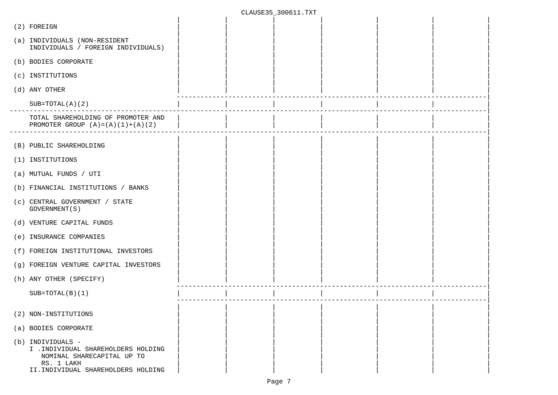| (2) FOREIGN                                                                                                                                |  |  |  |
|--------------------------------------------------------------------------------------------------------------------------------------------|--|--|--|
| (a) INDIVIDUALS (NON-RESIDENT<br>INDIVIDUALS / FOREIGN INDIVIDUALS)                                                                        |  |  |  |
| (b) BODIES CORPORATE                                                                                                                       |  |  |  |
| (c) INSTITUTIONS                                                                                                                           |  |  |  |
| (d) ANY OTHER                                                                                                                              |  |  |  |
| $SUB=TOTAL(A) (2)$                                                                                                                         |  |  |  |
| TOTAL SHAREHOLDING OF PROMOTER AND<br>PROMOTER GROUP $(A) = (A) (1) + (A) (2)$                                                             |  |  |  |
| (B) PUBLIC SHAREHOLDING                                                                                                                    |  |  |  |
| (1) INSTITUTIONS                                                                                                                           |  |  |  |
| (a) MUTUAL FUNDS / UTI                                                                                                                     |  |  |  |
| (b) FINANCIAL INSTITUTIONS / BANKS                                                                                                         |  |  |  |
| (c) CENTRAL GOVERNMENT / STATE<br>GOVERNMENT (S)                                                                                           |  |  |  |
| (d) VENTURE CAPITAL FUNDS                                                                                                                  |  |  |  |
| (e) INSURANCE COMPANIES                                                                                                                    |  |  |  |
| (f) FOREIGN INSTITUTIONAL INVESTORS                                                                                                        |  |  |  |
| (g) FOREIGN VENTURE CAPITAL INVESTORS                                                                                                      |  |  |  |
| (h) ANY OTHER (SPECIFY)                                                                                                                    |  |  |  |
| $SUB=TOTAL(B)(1)$                                                                                                                          |  |  |  |
| (2) NON-INSTITUTIONS                                                                                                                       |  |  |  |
| (a) BODIES CORPORATE                                                                                                                       |  |  |  |
| (b) INDIVIDUALS -<br>I . INDIVIDUAL SHAREHOLDERS HOLDING<br>NOMINAL SHARECAPITAL UP TO<br>RS. 1 LAKH<br>II.INDIVIDUAL SHAREHOLDERS HOLDING |  |  |  |